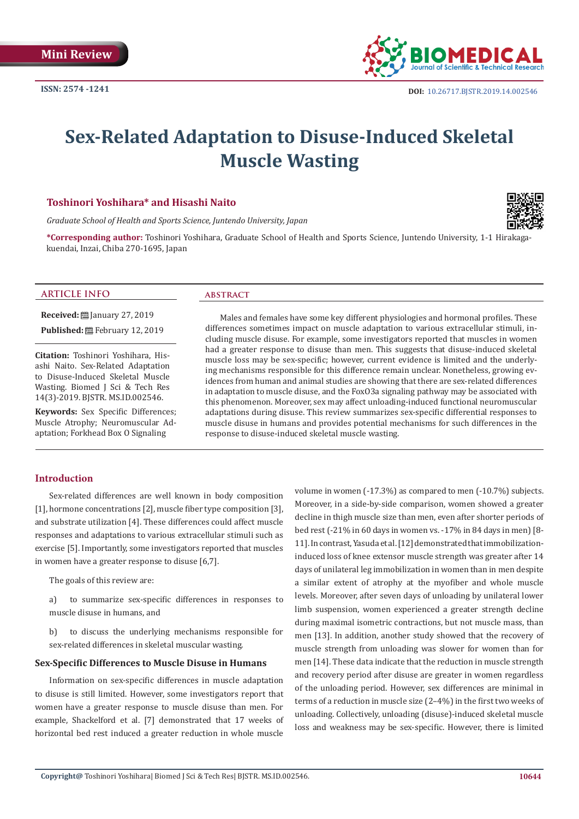

# **Sex-Related Adaptation to Disuse-Induced Skeletal Muscle Wasting**

# **Toshinori Yoshihara\* and Hisashi Naito**

*Graduate School of Health and Sports Science, Juntendo University, Japan*



**\*Corresponding author:** Toshinori Yoshihara, Graduate School of Health and Sports Science, Juntendo University, 1-1 Hirakagakuendai, Inzai, Chiba 270-1695, Japan

# **ARTICLE INFO abstract**

**Received:** January 27, 2019

Published: **■**February 12, 2019

**Citation:** Toshinori Yoshihara, Hisashi Naito. Sex-Related Adaptation to Disuse-Induced Skeletal Muscle Wasting. Biomed J Sci & Tech Res 14(3)-2019. BJSTR. MS.ID.002546.

**Keywords:** Sex Specific Differences; Muscle Atrophy; Neuromuscular Adaptation; Forkhead Box O Signaling

Males and females have some key different physiologies and hormonal profiles. These differences sometimes impact on muscle adaptation to various extracellular stimuli, including muscle disuse. For example, some investigators reported that muscles in women had a greater response to disuse than men. This suggests that disuse-induced skeletal muscle loss may be sex-specific; however, current evidence is limited and the underlying mechanisms responsible for this difference remain unclear. Nonetheless, growing evidences from human and animal studies are showing that there are sex-related differences in adaptation to muscle disuse, and the FoxO3a signaling pathway may be associated with this phenomenon. Moreover, sex may affect unloading-induced functional neuromuscular adaptations during disuse. This review summarizes sex-specific differential responses to muscle disuse in humans and provides potential mechanisms for such differences in the response to disuse-induced skeletal muscle wasting.

# **Introduction**

Sex-related differences are well known in body composition [1], hormone concentrations [2], muscle fiber type composition [3], and substrate utilization [4]. These differences could affect muscle responses and adaptations to various extracellular stimuli such as exercise [5]. Importantly, some investigators reported that muscles in women have a greater response to disuse [6,7].

The goals of this review are:

a) to summarize sex-specific differences in responses to muscle disuse in humans, and

b) to discuss the underlying mechanisms responsible for sex-related differences in skeletal muscular wasting.

# **Sex-Specific Differences to Muscle Disuse in Humans**

Information on sex-specific differences in muscle adaptation to disuse is still limited. However, some investigators report that women have a greater response to muscle disuse than men. For example, Shackelford et al. [7] demonstrated that 17 weeks of horizontal bed rest induced a greater reduction in whole muscle

volume in women (-17.3%) as compared to men (-10.7%) subjects. Moreover, in a side-by-side comparison, women showed a greater decline in thigh muscle size than men, even after shorter periods of bed rest (-21% in 60 days in women vs. -17% in 84 days in men) [8- 11]. In contrast, Yasuda et al. [12] demonstrated that immobilizationinduced loss of knee extensor muscle strength was greater after 14 days of unilateral leg immobilization in women than in men despite a similar extent of atrophy at the myofiber and whole muscle levels. Moreover, after seven days of unloading by unilateral lower limb suspension, women experienced a greater strength decline during maximal isometric contractions, but not muscle mass, than men [13]. In addition, another study showed that the recovery of muscle strength from unloading was slower for women than for men [14]. These data indicate that the reduction in muscle strength and recovery period after disuse are greater in women regardless of the unloading period. However, sex differences are minimal in terms of a reduction in muscle size (2–4%) in the first two weeks of unloading. Collectively, unloading (disuse)-induced skeletal muscle loss and weakness may be sex-specific. However, there is limited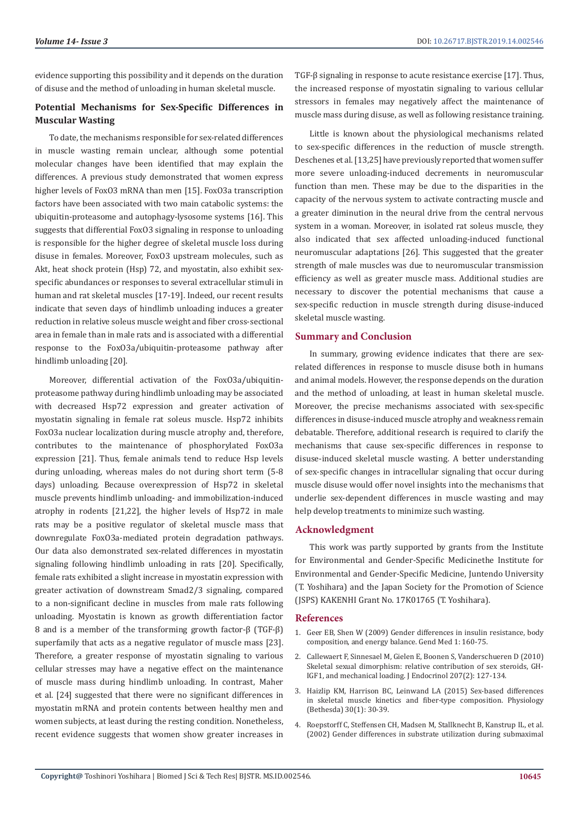evidence supporting this possibility and it depends on the duration of disuse and the method of unloading in human skeletal muscle.

# **Potential Mechanisms for Sex-Specific Differences in Muscular Wasting**

To date, the mechanisms responsible for sex-related differences in muscle wasting remain unclear, although some potential molecular changes have been identified that may explain the differences. A previous study demonstrated that women express higher levels of FoxO3 mRNA than men [15]. FoxO3a transcription factors have been associated with two main catabolic systems: the ubiquitin-proteasome and autophagy-lysosome systems [16]. This suggests that differential FoxO3 signaling in response to unloading is responsible for the higher degree of skeletal muscle loss during disuse in females. Moreover, FoxO3 upstream molecules, such as Akt, heat shock protein (Hsp) 72, and myostatin, also exhibit sexspecific abundances or responses to several extracellular stimuli in human and rat skeletal muscles [17-19]. Indeed, our recent results indicate that seven days of hindlimb unloading induces a greater reduction in relative soleus muscle weight and fiber cross-sectional area in female than in male rats and is associated with a differential response to the FoxO3a/ubiquitin-proteasome pathway after hindlimb unloading [20].

Moreover, differential activation of the FoxO3a/ubiquitinproteasome pathway during hindlimb unloading may be associated with decreased Hsp72 expression and greater activation of myostatin signaling in female rat soleus muscle. Hsp72 inhibits FoxO3a nuclear localization during muscle atrophy and, therefore, contributes to the maintenance of phosphorylated FoxO3a expression [21]. Thus, female animals tend to reduce Hsp levels during unloading, whereas males do not during short term (5-8 days) unloading. Because overexpression of Hsp72 in skeletal muscle prevents hindlimb unloading- and immobilization-induced atrophy in rodents [21,22], the higher levels of Hsp72 in male rats may be a positive regulator of skeletal muscle mass that downregulate FoxO3a-mediated protein degradation pathways. Our data also demonstrated sex-related differences in myostatin signaling following hindlimb unloading in rats [20]. Specifically, female rats exhibited a slight increase in myostatin expression with greater activation of downstream Smad2/3 signaling, compared to a non-significant decline in muscles from male rats following unloading. Myostatin is known as growth differentiation factor 8 and is a member of the transforming growth factor-β (TGF-β) superfamily that acts as a negative regulator of muscle mass [23]. Therefore, a greater response of myostatin signaling to various cellular stresses may have a negative effect on the maintenance of muscle mass during hindlimb unloading. In contrast, Maher et al. [24] suggested that there were no significant differences in myostatin mRNA and protein contents between healthy men and women subjects, at least during the resting condition. Nonetheless, recent evidence suggests that women show greater increases in TGF-β signaling in response to acute resistance exercise [17]. Thus, the increased response of myostatin signaling to various cellular stressors in females may negatively affect the maintenance of muscle mass during disuse, as well as following resistance training.

Little is known about the physiological mechanisms related to sex-specific differences in the reduction of muscle strength. Deschenes et al. [13,25] have previously reported that women suffer more severe unloading-induced decrements in neuromuscular function than men. These may be due to the disparities in the capacity of the nervous system to activate contracting muscle and a greater diminution in the neural drive from the central nervous system in a woman. Moreover, in isolated rat soleus muscle, they also indicated that sex affected unloading-induced functional neuromuscular adaptations [26]. This suggested that the greater strength of male muscles was due to neuromuscular transmission efficiency as well as greater muscle mass. Additional studies are necessary to discover the potential mechanisms that cause a sex-specific reduction in muscle strength during disuse-induced skeletal muscle wasting.

# **Summary and Conclusion**

In summary, growing evidence indicates that there are sexrelated differences in response to muscle disuse both in humans and animal models. However, the response depends on the duration and the method of unloading, at least in human skeletal muscle. Moreover, the precise mechanisms associated with sex-specific differences in disuse-induced muscle atrophy and weakness remain debatable. Therefore, additional research is required to clarify the mechanisms that cause sex-specific differences in response to disuse-induced skeletal muscle wasting. A better understanding of sex-specific changes in intracellular signaling that occur during muscle disuse would offer novel insights into the mechanisms that underlie sex-dependent differences in muscle wasting and may help develop treatments to minimize such wasting.

# **Acknowledgment**

This work was partly supported by grants from the Institute for Environmental and Gender-Specific Medicinethe Institute for Environmental and Gender-Specific Medicine, Juntendo University (T. Yoshihara) and the Japan Society for the Promotion of Science (JSPS) KAKENHI Grant No. 17K01765 (T. Yoshihara).

### **References**

- 1. [Geer EB, Shen W \(2009\) Gender differences in insulin resistance, body](https://www.ncbi.nlm.nih.gov/pubmed/19318219) [composition, and energy balance. Gend Med 1: 160-75.](https://www.ncbi.nlm.nih.gov/pubmed/19318219)
- 2. Callewaert F, Sinnesael M, Gielen E, Boonen S, Vanderschueren D (2010) Skeletal sexual dimorphism: relative contribution of sex steroids, GH-IGF1, and mechanical loading. J Endocrinol 207(2): 127-134.
- 3. Haizlip KM, Harrison BC, Leinwand LA (2015) Sex-based differences in skeletal muscle kinetics and fiber-type composition. Physiology (Bethesda) 30(1): 30-39.
- 4. Roepstorff C, Steffensen CH, Madsen M, Stallknecht B, Kanstrup IL, et al. (2002) Gender differences in substrate utilization during submaximal